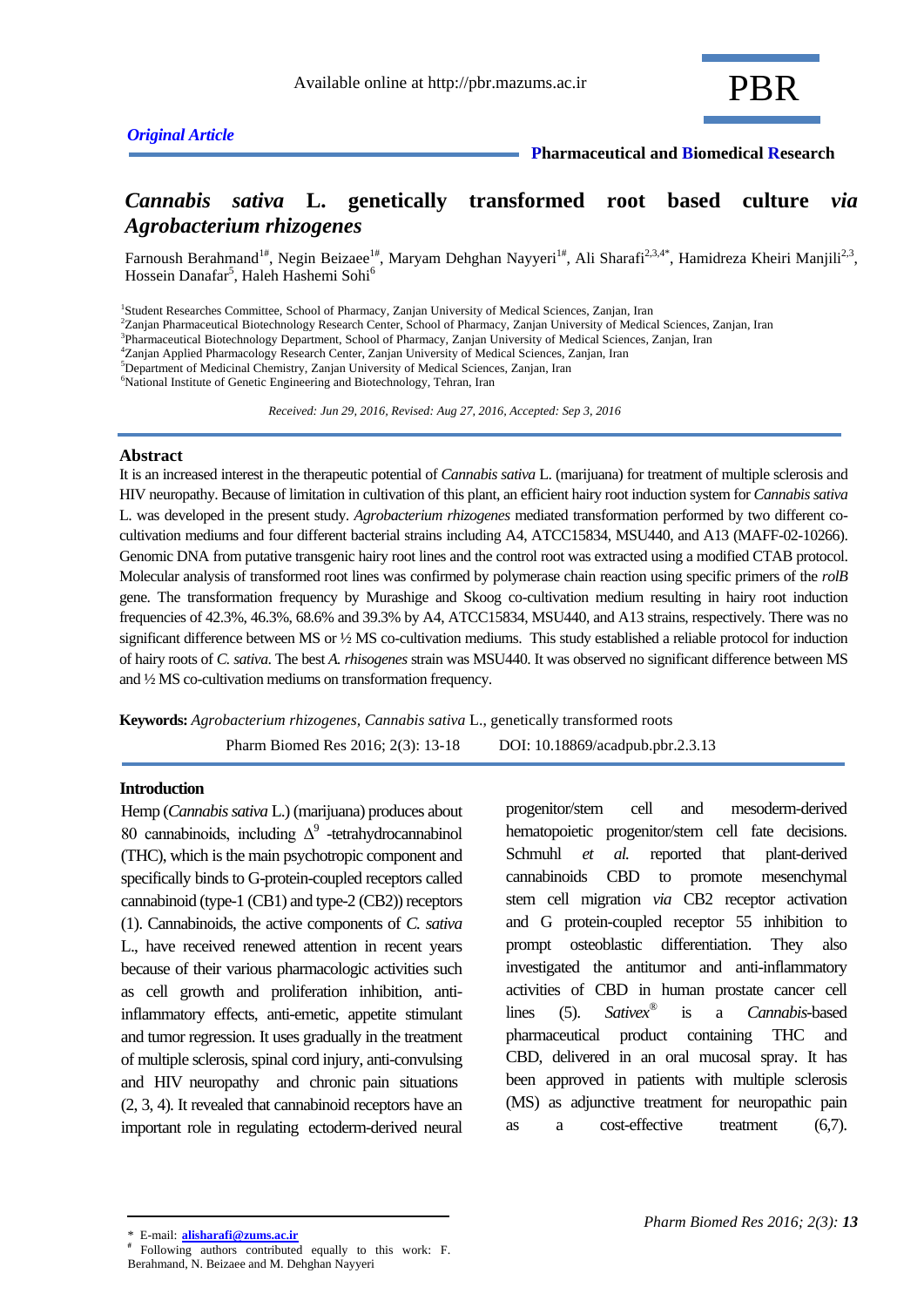### *Original Article*

# *Cannabis sativa* **L. genetically transformed root based culture** *via Agrobacterium rhizogenes*

Farnoush Berahmand<sup>1#</sup>, Negin Beizaee<sup>1#</sup>, Maryam Dehghan Nayyeri<sup>1#</sup>, Ali Sharafi<sup>2,3,4\*</sup>, Hamidreza Kheiri Manjili<sup>2,3</sup>, Hossein Danafar<sup>5</sup>, Haleh Hashemi Sohi<sup>6</sup>

<sup>2</sup>Zanjan Pharmaceutical Biotechnology Research Center, School of Pharmacy, Zanjan University of Medical Sciences, Zanjan, Iran

3 Pharmaceutical Biotechnology Department, School of Pharmacy, Zanjan University of Medical Sciences, Zanjan, Iran

<sup>4</sup>Zanjan Applied Pharmacology Research Center, Zanjan University of Medical Sciences, Zanjan, Iran

<sup>5</sup>Department of Medicinal Chemistry, Zanjan University of Medical Sciences, Zanjan, Iran

<sup>6</sup>National Institute of Genetic Engineering and Biotechnology, Tehran, Iran

 *Received: Jun 29, 2016, Revised: Aug 27, 2016, Accepted: Sep 3, 2016*

#### **Abstract**

It is an increased interest in the therapeutic potential of *Cannabis sativa* L. (marijuana) for treatment of multiple sclerosis and HIV neuropathy. Because of limitation in cultivation of this plant, an efficient hairy root induction system for *Cannabis sativa* L. was developed in the present study. *Agrobacterium rhizogenes* mediated transformation performed by two different cocultivation mediums and four different bacterial strains including A4, ATCC15834, MSU440, and A13 (MAFF-02-10266). Genomic DNA from putative transgenic hairy root lines and the control root was extracted using a modified CTAB protocol. Molecular analysis of transformed root lines was confirmed by polymerase chain reaction using specific primers of the *rolB* gene. The transformation frequency by Murashige and Skoog co-cultivation medium resulting in hairy root induction frequencies of 42.3%, 46.3%, 68.6% and 39.3% by A4, ATCC15834, MSU440, and A13 strains, respectively. There was no significant difference between MS or  $\frac{1}{2}$  MS co-cultivation mediums. This study established a reliable protocol for induction of hairy roots of *C. sativa*. The best *A. rhisogenes* strain was MSU440. It was observed no significant difference between MS and ½ MS co-cultivation mediums on transformation frequency.

**Keywords:** *Agrobacterium rhizogenes, Cannabis sativa* L., genetically transformed roots

Pharm Biomed Res 2016; 2(3): 13-18 DOI: 10.18869/acadpub.pbr.2.3.13

#### **Introduction**

Hemp (*Cannabis sativa* L.) (marijuana) produces about 80 cannabinoids, including  $\Delta^9$  -tetrahydrocannabinol (THC), which is the main psychotropic component and specifically binds to G-protein-coupled receptors called cannabinoid (type-1 (CB1) and type-2 (CB2)) receptors (1). Cannabinoids, the active components of *C. sativa* L., have received renewed attention in recent years because of their various pharmacologic activities such as cell growth and proliferation inhibition, antiinflammatory effects, anti-emetic, appetite stimulant and tumor regression. It uses gradually in the treatment of multiple sclerosis, spinal cord injury, anti-convulsing and HIV neuropathy and chronic pain situations (2, 3, 4). It revealed that cannabinoid receptors have an important role in regulating ectoderm-derived neural progenitor/stem cell and mesoderm-derived hematopoietic progenitor/stem cell fate decisions. Schmuhl *et al.* reported that plant-derived cannabinoids CBD to promote mesenchymal stem cell migration *via* CB2 receptor activation and G protein-coupled receptor 55 inhibition to prompt osteoblastic differentiation. They also investigated the antitumor and anti-inflammatory activities of CBD in human prostate cancer cell lines (5). *Sativex®* is a *Cannabis*-based pharmaceutical product containing THC and CBD, delivered in an oral mucosal spray. It has been approved in patients with multiple sclerosis (MS) as adjunctive treatment for neuropathic pain as a cost-effective treatment (6,7).

<sup>&</sup>lt;sup>1</sup>Student Researches Committee, School of Pharmacy, Zanjan University of Medical Sciences, Zanjan, Iran

<sup>\*</sup> E-mail: **alisharafi@zums.ac.ir**

**<sup>#</sup>** Following authors contributed equally to this work: F. Berahmand, N. Beizaee and M. Dehghan Nayyeri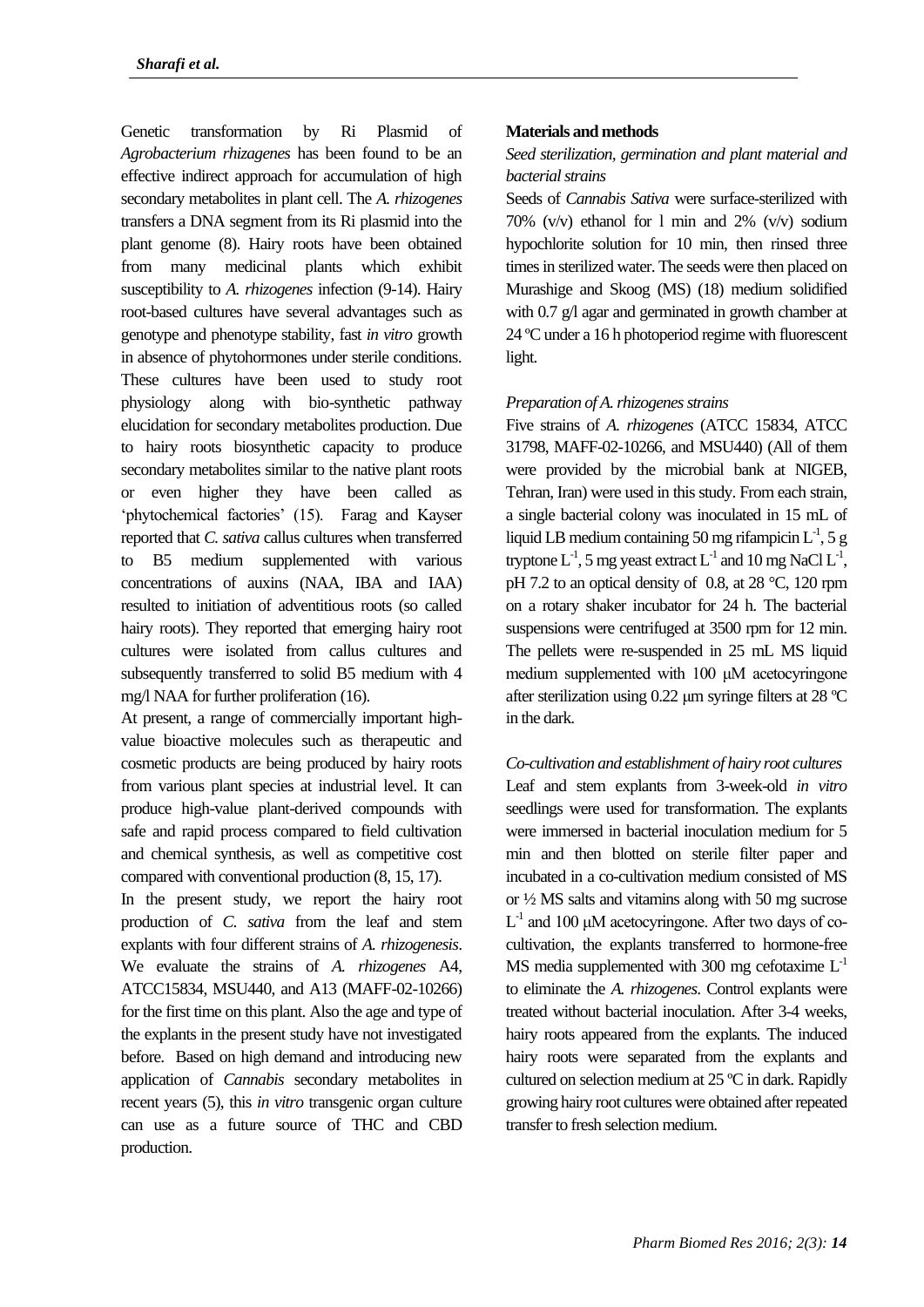Genetic transformation by Ri Plasmid of *Agrobacterium rhizagenes* has been found to be an effective indirect approach for accumulation of high secondary metabolites in plant cell. The *A. rhizogenes* transfers a DNA segment from its Ri plasmid into the plant genome (8). Hairy roots have been obtained from many medicinal plants which exhibit susceptibility to *A. rhizogenes* infection (9-14). Hairy root-based cultures have several advantages such as genotype and phenotype stability, fast *in vitro* growth in absence of phytohormones under sterile conditions. These cultures have been used to study root physiology along with bio-synthetic pathway elucidation for secondary metabolites production. Due to hairy roots biosynthetic capacity to produce secondary metabolites similar to the native plant roots or even higher they have been called as 'phytochemical factories' (15). Farag and Kayser reported that *C. sativa* callus cultures when transferred to B5 medium supplemented with various concentrations of auxins (NAA, IBA and IAA) resulted to initiation of adventitious roots (so called hairy roots). They reported that emerging hairy root cultures were isolated from callus cultures and subsequently transferred to solid B5 medium with 4 mg/l NAA for further proliferation (16).

At present, a range of commercially important highvalue bioactive molecules such as therapeutic and cosmetic products are being produced by hairy roots from various plant species at industrial level. It can produce high-value plant-derived compounds with safe and rapid process compared to field cultivation and chemical synthesis, as well as competitive cost compared with conventional production (8, 15, 17).

In the present study, we report the hairy root production of *C. sativa* from the leaf and stem explants with four different strains of *A. rhizogenesis*. We evaluate the strains of *A. rhizogenes* A4, ATCC15834, MSU440, and A13 (MAFF-02-10266) for the first time on this plant. Also the age and type of the explants in the present study have not investigated before. Based on high demand and introducing new application of *Cannabis* secondary metabolites in recent years (5), this *in vitro* transgenic organ culture can use as a future source of THC and CBD production.

### **Materials and methods**

# *Seed sterilization, germination and plant material and bacterial strains*

Seeds of *Cannabis Sativa* were surface-sterilized with 70% (v/v) ethanol for l min and 2% (v/v) sodium hypochlorite solution for 10 min, then rinsed three times in sterilized water. The seeds were then placed on Murashige and Skoog (MS) (18) medium solidified with 0.7 g/l agar and germinated in growth chamber at 24 ºC under a 16 h photoperiod regime with fluorescent light.

#### *Preparation of A. rhizogenes strains*

Five strains of *A. rhizogenes* (ATCC 15834, ATCC 31798, MAFF-02-10266, and MSU440) (All of them were provided by the microbial bank at NIGEB, Tehran, Iran) were used in this study. From each strain, a single bacterial colony was inoculated in 15 mL of liquid LB medium containing 50 mg rifampicin  $L^{-1}$ , 5 g tryptone  $L^{-1}$ , 5 mg yeast extract  $L^{-1}$  and 10 mg NaCl  $L^{-1}$ , pH 7.2 to an optical density of 0.8, at 28 °C, 120 rpm on a rotary shaker incubator for 24 h. The bacterial suspensions were centrifuged at 3500 rpm for 12 min. The pellets were re-suspended in 25 mL MS liquid medium supplemented with 100 μM acetocyringone after sterilization using 0.22 μm syringe filters at 28 ºC in the dark.

*Co-cultivation and establishment of hairy root cultures* Leaf and stem explants from 3-week-old *in vitro* seedlings were used for transformation. The explants were immersed in bacterial inoculation medium for 5 min and then blotted on sterile filter paper and incubated in a co-cultivation medium consisted of MS or ½ MS salts and vitamins along with 50 mg sucrose  $L^{-1}$  and 100 µM acetocyringone. After two days of cocultivation, the explants transferred to hormone-free MS media supplemented with 300 mg cefotaxime  $L^{-1}$ to eliminate the *A. rhizogenes*. Control explants were treated without bacterial inoculation. After 3-4 weeks, hairy roots appeared from the explants. The induced hairy roots were separated from the explants and cultured on selection medium at 25 ºC in dark. Rapidly growing hairy root cultures were obtained after repeated transfer to fresh selection medium.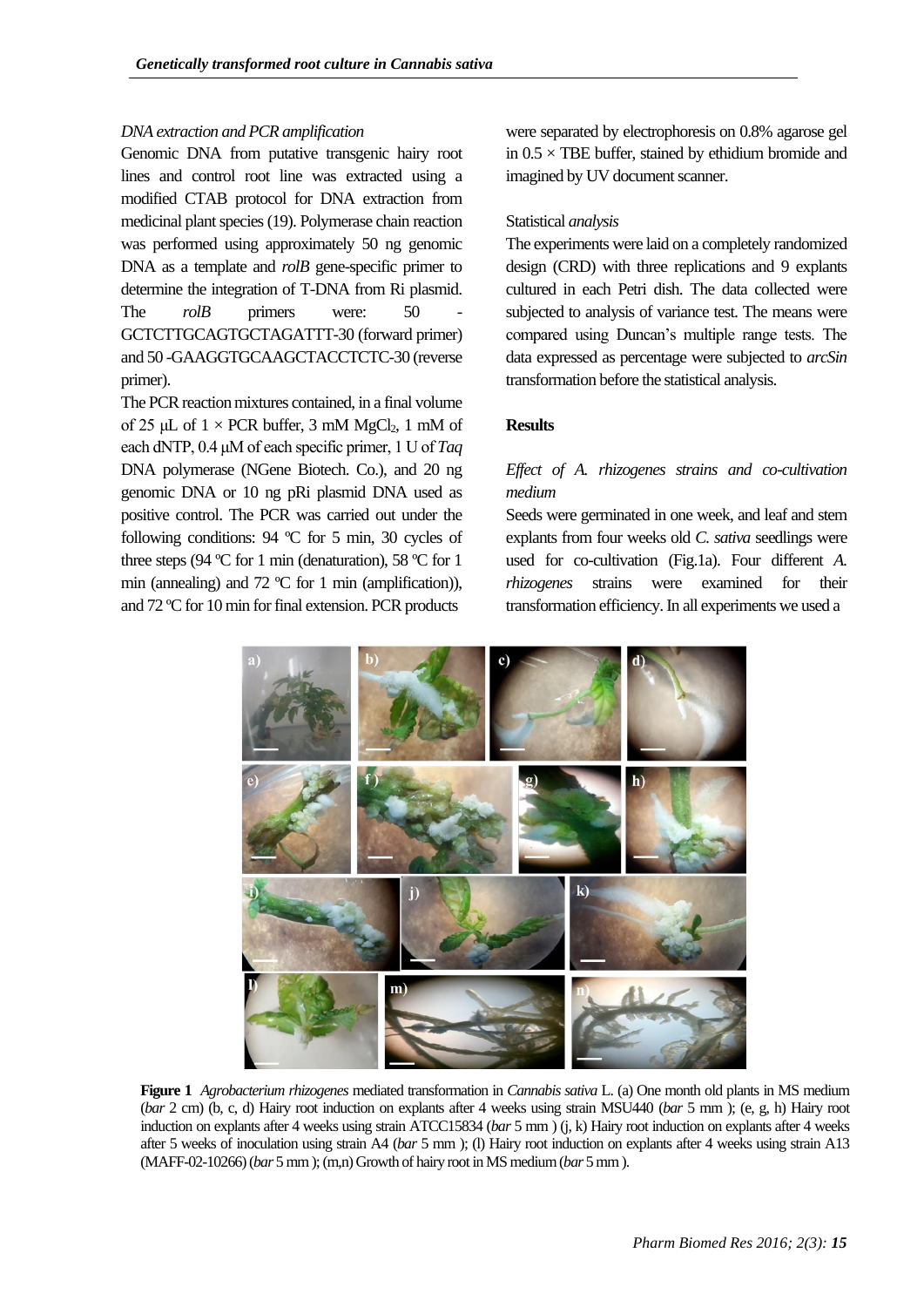### *DNA extraction and PCR amplification*

Genomic DNA from putative transgenic hairy root lines and control root line was extracted using a modified CTAB protocol for DNA extraction from medicinal plant species (19). Polymerase chain reaction was performed using approximately 50 ng genomic DNA as a template and *rolB* gene-specific primer to determine the integration of T-DNA from Ri plasmid. The *rolB* primers were: 50 GCTCTTGCAGTGCTAGATTT-30 (forward primer) and 50 -GAAGGTGCAAGCTACCTCTC-30 (reverse primer).

The PCR reaction mixtures contained, in a final volume of 25 μL of  $1 \times PCR$  buffer, 3 mM MgCl<sub>2</sub>, 1 mM of each dNTP, 0.4 μM of each specific primer, 1 U of *Taq* DNA polymerase (NGene Biotech. Co.), and 20 ng genomic DNA or 10 ng pRi plasmid DNA used as positive control. The PCR was carried out under the following conditions: 94 ºC for 5 min, 30 cycles of three steps (94 ºC for 1 min (denaturation), 58 ºC for 1 min (annealing) and  $72 \text{ °C}$  for 1 min (amplification)), and 72 ºC for 10 min for final extension. PCR products

were separated by electrophoresis on 0.8% agarose gel in  $0.5 \times$  TBE buffer, stained by ethidium bromide and imagined by UV document scanner.

### Statistical *analysis*

The experiments were laid on a completely randomized design (CRD) with three replications and 9 explants cultured in each Petri dish. The data collected were subjected to analysis of variance test. The means were compared using Duncan's multiple range tests. The data expressed as percentage were subjected to *arcSin* transformation before the statistical analysis.

#### **Results**

# *Effect of A. rhizogenes strains and co-cultivation medium*

Seeds were germinated in one week, and leaf and stem explants from four weeks old *C. sativa* seedlings were used for co-cultivation (Fig.1a). Four different *A. rhizogenes* strains were examined for their transformation efficiency. In all experiments we used a



**Figure 1** *Agrobacterium rhizogenes* mediated transformation in *Cannabis sativa* L. (a) One month old plants in MS medium (*bar* 2 cm) (b, c, d) Hairy root induction on explants after 4 weeks using strain MSU440 (*bar* 5 mm ); (e, g, h) Hairy root induction on explants after 4 weeks using strain ATCC15834 (*bar* 5 mm ) (j, k) Hairy root induction on explants after 4 weeks after 5 weeks of inoculation using strain A4 (*bar* 5 mm ); (l) Hairy root induction on explants after 4 weeks using strain A13 (MAFF-02-10266) (*bar* 5 mm); (m,n) Growth of hairy root in MS medium (*bar* 5 mm).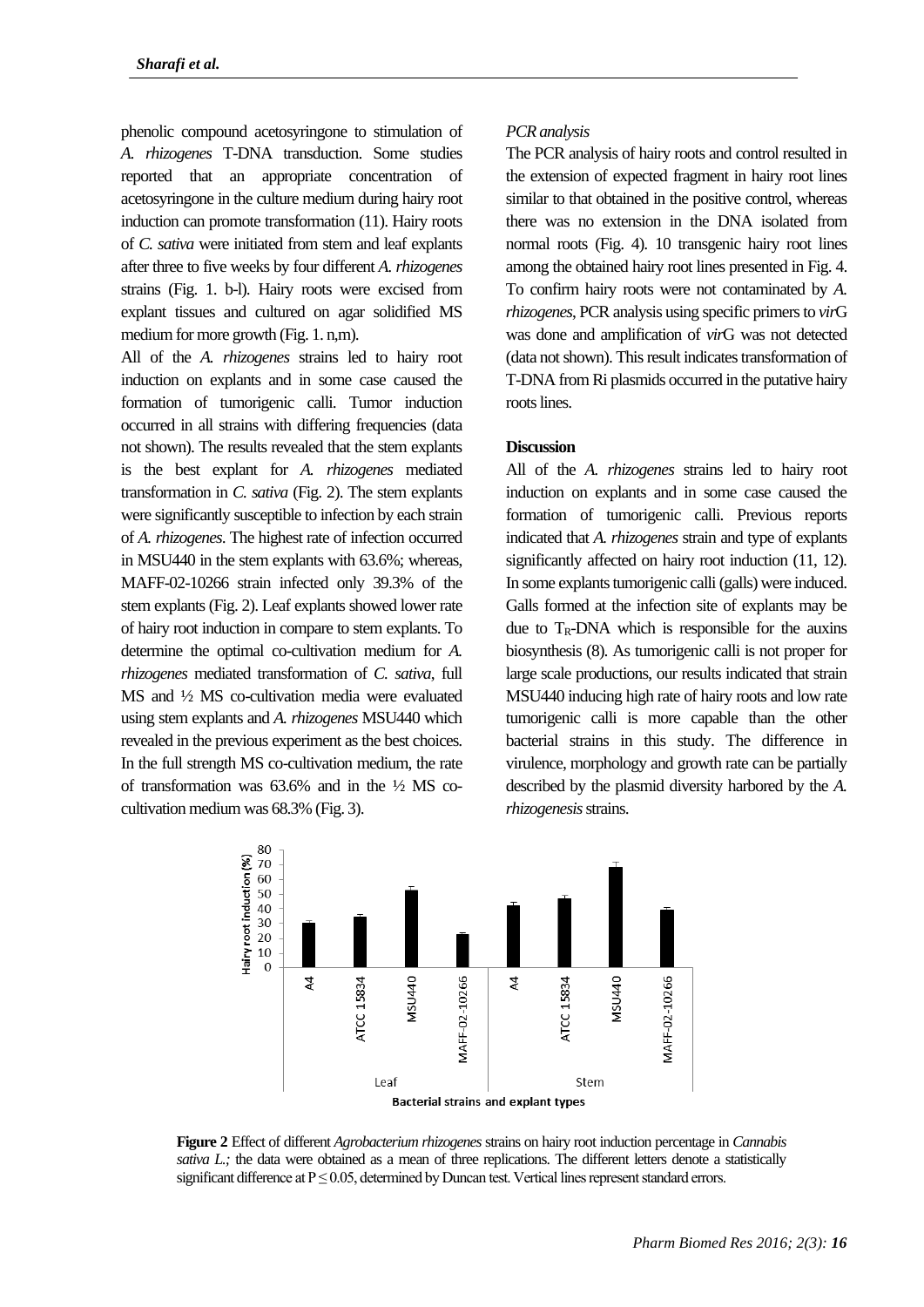phenolic compound acetosyringone to stimulation of *A. rhizogenes* T-DNA transduction. Some studies reported that an appropriate concentration of acetosyringone in the culture medium during hairy root induction can promote transformation (11). Hairy roots of *C. sativa* were initiated from stem and leaf explants after three to five weeks by four different *A. rhizogenes* strains (Fig. 1. b-l). Hairy roots were excised from explant tissues and cultured on agar solidified MS medium for more growth (Fig. 1. n,m).

All of the *A. rhizogenes* strains led to hairy root induction on explants and in some case caused the formation of tumorigenic calli. Tumor induction occurred in all strains with differing frequencies (data not shown). The results revealed that the stem explants is the best explant for *A. rhizogenes* mediated transformation in *C. sativa* (Fig. 2). The stem explants were significantly susceptible to infection by each strain of *A. rhizogenes*. The highest rate of infection occurred in MSU440 in the stem explants with 63.6%; whereas, MAFF-02-10266 strain infected only 39.3% of the stem explants (Fig. 2). Leaf explants showed lower rate of hairy root induction in compare to stem explants. To determine the optimal co-cultivation medium for *A. rhizogenes* mediated transformation of *C. sativa*, full MS and ½ MS co-cultivation media were evaluated using stem explants and *A. rhizogenes* MSU440 which revealed in the previous experiment as the best choices. In the full strength MS co-cultivation medium, the rate of transformation was  $63.6\%$  and in the  $\frac{1}{2}$  MS cocultivation medium was 68.3% (Fig. 3).

#### *PCR analysis*

The PCR analysis of hairy roots and control resulted in the extension of expected fragment in hairy root lines similar to that obtained in the positive control, whereas there was no extension in the DNA isolated from normal roots (Fig. 4). 10 transgenic hairy root lines among the obtained hairy root lines presented in Fig. 4. To confirm hairy roots were not contaminated by *A. rhizogenes*, PCR analysis using specific primers to *vir*G was done and amplification of *vir*G was not detected (data not shown). This result indicates transformation of T-DNA from Ri plasmids occurred in the putative hairy roots lines.

#### **Discussion**

All of the *A. rhizogenes* strains led to hairy root induction on explants and in some case caused the formation of tumorigenic calli. Previous reports indicated that *A. rhizogenes* strain and type of explants significantly affected on hairy root induction  $(11, 12)$ . In some explants tumorigenic calli (galls) were induced. Galls formed at the infection site of explants may be due to  $T_R$ -DNA which is responsible for the auxins biosynthesis (8). As tumorigenic calli is not proper for large scale productions, our results indicated that strain MSU440 inducing high rate of hairy roots and low rate tumorigenic calli is more capable than the other bacterial strains in this study. The difference in virulence, morphology and growth rate can be partially described by the plasmid diversity harbored by the *A. rhizogenesis*strains.



**Figure 2** Effect of different *Agrobacterium rhizogenes* strains on hairy root induction percentage in *Cannabis sativa L*; the data were obtained as a mean of three replications. The different letters denote a statistically significant difference at  $P \le 0.05$ , determined by Duncan test. Vertical lines represent standard errors.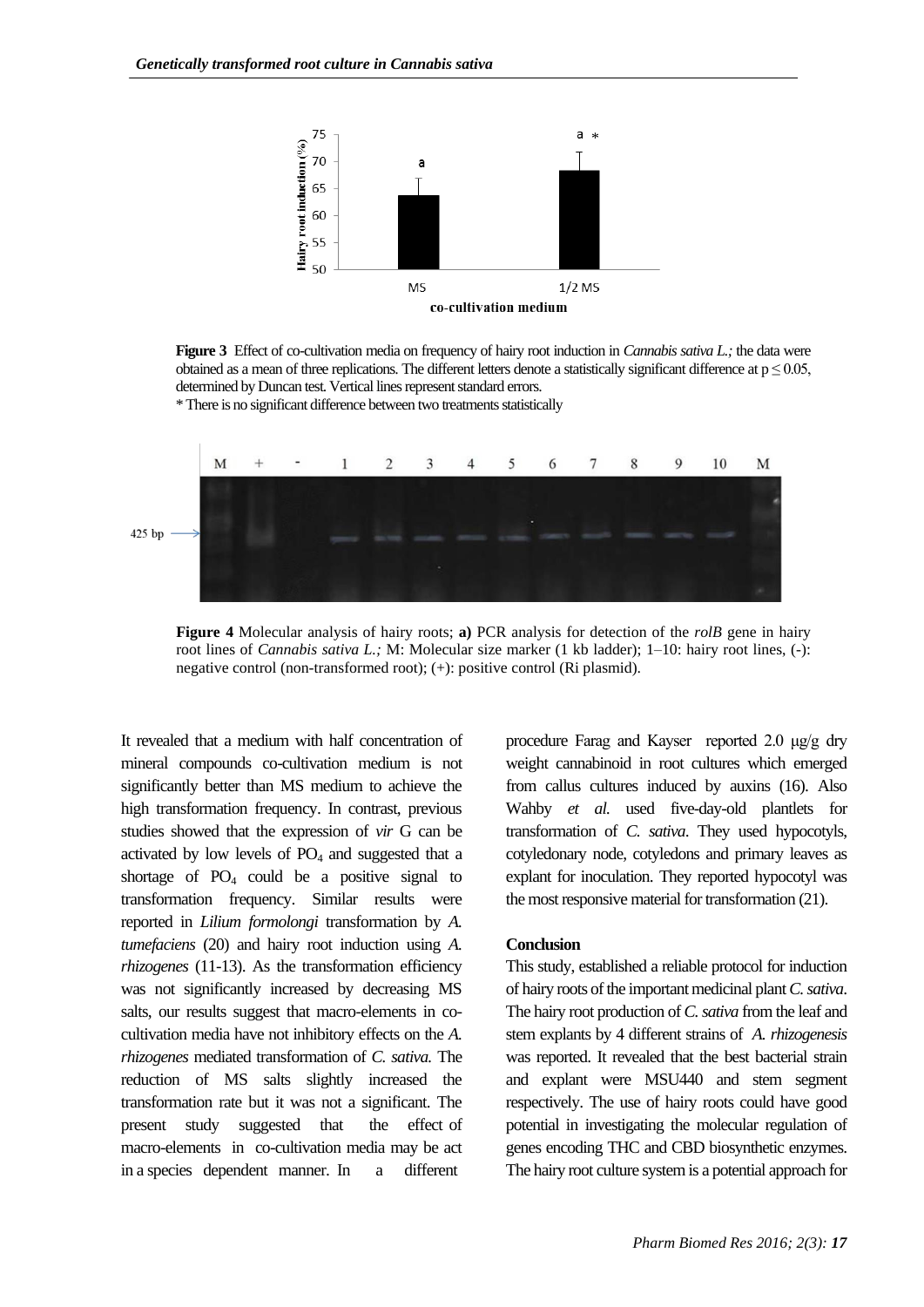

**Figure 3** Effect of co-cultivation media on frequency of hairy root induction in *Cannabis sativa L.;* the data were obtained as a mean of three replications. The different letters denote a statistically significant difference at  $p \le 0.05$ . determined by Duncan test. Vertical lines represent standard errors.

\* There is no significant difference between two treatments statistically



**Figure 4** Molecular analysis of hairy roots; **a)** PCR analysis for detection of the *rolB* gene in hairy root lines of *Cannabis sativa L.;* M: Molecular size marker (1 kb ladder); 1–10: hairy root lines, (-): negative control (non-transformed root); (+): positive control (Ri plasmid).

It revealed that a medium with half concentration of mineral compounds co-cultivation medium is not significantly better than MS medium to achieve the high transformation frequency. In contrast, previous studies showed that the expression of *vir* G can be activated by low levels of  $PO<sub>4</sub>$  and suggested that a shortage of  $PO_4$  could be a positive signal to transformation frequency. Similar results were reported in *Lilium formolongi* transformation by *A. tumefaciens* (20) and hairy root induction using *A. rhizogenes* (11-13). As the transformation efficiency was not significantly increased by decreasing MS salts, our results suggest that macro-elements in cocultivation media have not inhibitory effects on the *A. rhizogenes* mediated transformation of *C. sativa.* The reduction of MS salts slightly increased the transformation rate but it was not a significant. The present study suggested that the effect of macro-elements in co-cultivation media may be act in a species dependent manner. In a different

procedure Farag and Kayser reported 2.0 μg/g dry weight cannabinoid in root cultures which emerged from callus cultures induced by auxins (16). Also Wahby *et al.* used five-day-old plantlets for transformation of *C. sativa*. They used hypocotyls, cotyledonary node, cotyledons and primary leaves as explant for inoculation. They reported hypocotyl was the most responsive material for transformation (21).

#### **Conclusion**

This study, established a reliable protocol for induction of hairy roots of the important medicinal plant *C. sativa*. The hairy root production of *C. sativa* from the leaf and stem explants by 4 different strains of *A. rhizogenesis*  was reported. It revealed that the best bacterial strain and explant were MSU440 and stem segment respectively. The use of hairy roots could have good potential in investigating the molecular regulation of genes encoding THC and CBD biosynthetic enzymes. The hairy root culture system is a potential approach for